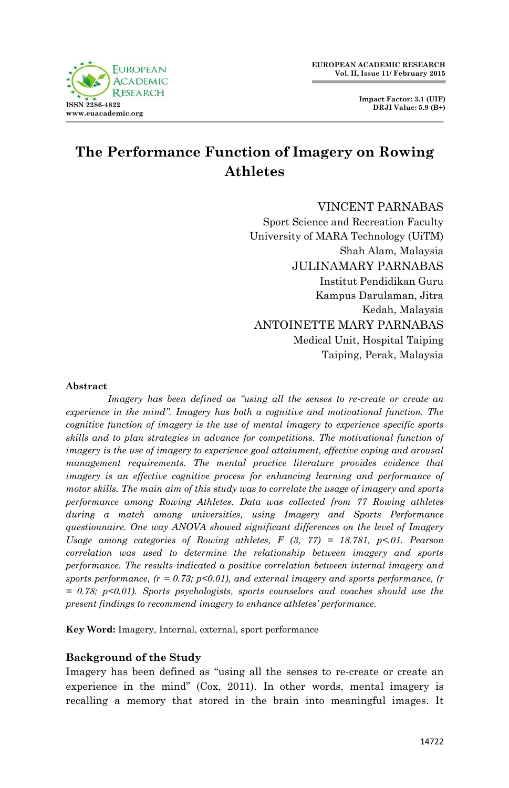

# **The Performance Function of Imagery on Rowing Athletes**

VINCENT PARNABAS

Sport Science and Recreation Faculty University of MARA Technology (UiTM) Shah Alam, Malaysia JULINAMARY PARNABAS Institut Pendidikan Guru Kampus Darulaman, Jitra Kedah, Malaysia ANTOINETTE MARY PARNABAS Medical Unit, Hospital Taiping Taiping, Perak, Malaysia

#### **Abstract**

*Imagery has been defined as "using all the senses to re-create or create an experience in the mind". Imagery has both a cognitive and motivational function. The cognitive function of imagery is the use of mental imagery to experience specific sports skills and to plan strategies in advance for competitions. The motivational function of imagery is the use of imagery to experience goal attainment, effective coping and arousal management requirements. The mental practice literature provides evidence that imagery is an effective cognitive process for enhancing learning and performance of motor skills. The main aim of this study was to correlate the usage of imagery and sports performance among Rowing Athletes. Data was collected from 77 Rowing athletes during a match among universities, using Imagery and Sports Performance questionnaire. One way ANOVA showed significant differences on the level of Imagery Usage among categories of Rowing athletes, F (3, 77) = 18.781, p<01. Pearson correlation was used to determine the relationship between imagery and sports performance. The results indicated a positive correlation between internal imagery and*  sports performance,  $(r = 0.73; p<0.01)$ , and external imagery and sports performance, (r *= 0.78; p<0.01). Sports psychologists, sports counselors and coaches should use the present findings to recommend imagery to enhance athletes' performance.* 

**Key Word:** Imagery, Internal, external, sport performance

## **Background of the Study**

Imagery has been defined as "using all the senses to re-create or create an experience in the mind" (Cox, 2011). In other words, mental imagery is recalling a memory that stored in the brain into meaningful images. It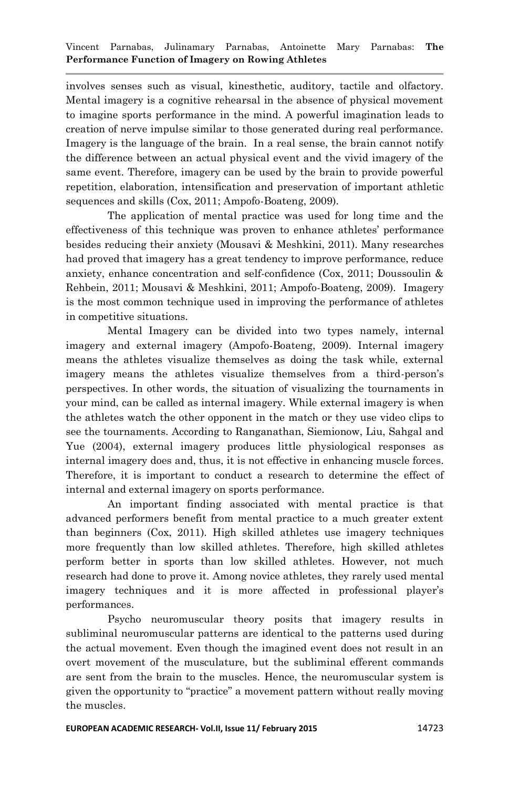involves senses such as visual, kinesthetic, auditory, tactile and olfactory. Mental imagery is a cognitive rehearsal in the absence of physical movement to imagine sports performance in the mind. A powerful imagination leads to creation of nerve impulse similar to those generated during real performance. Imagery is the language of the brain. In a real sense, the brain cannot notify the difference between an actual physical event and the vivid imagery of the same event. Therefore, imagery can be used by the brain to provide powerful repetition, elaboration, intensification and preservation of important athletic sequences and skills (Cox, 2011; Ampofo-Boateng, 2009).

The application of mental practice was used for long time and the effectiveness of this technique was proven to enhance athletes' performance besides reducing their anxiety (Mousavi & Meshkini, 2011). Many researches had proved that imagery has a great tendency to improve performance, reduce anxiety, enhance concentration and self-confidence (Cox, 2011; Doussoulin & Rehbein, 2011; Mousavi & Meshkini, 2011; Ampofo-Boateng, 2009). Imagery is the most common technique used in improving the performance of athletes in competitive situations.

Mental Imagery can be divided into two types namely, internal imagery and external imagery (Ampofo-Boateng, 2009). Internal imagery means the athletes visualize themselves as doing the task while, external imagery means the athletes visualize themselves from a third-person's perspectives. In other words, the situation of visualizing the tournaments in your mind, can be called as internal imagery. While external imagery is when the athletes watch the other opponent in the match or they use video clips to see the tournaments. According to Ranganathan, Siemionow, Liu, Sahgal and Yue (2004), external imagery produces little physiological responses as internal imagery does and, thus, it is not effective in enhancing muscle forces. Therefore, it is important to conduct a research to determine the effect of internal and external imagery on sports performance.

An important finding associated with mental practice is that advanced performers benefit from mental practice to a much greater extent than beginners (Cox, 2011). High skilled athletes use imagery techniques more frequently than low skilled athletes. Therefore, high skilled athletes perform better in sports than low skilled athletes. However, not much research had done to prove it. Among novice athletes, they rarely used mental imagery techniques and it is more affected in professional player's performances.

Psycho neuromuscular theory posits that imagery results in subliminal neuromuscular patterns are identical to the patterns used during the actual movement. Even though the imagined event does not result in an overt movement of the musculature, but the subliminal efferent commands are sent from the brain to the muscles. Hence, the neuromuscular system is given the opportunity to "practice" a movement pattern without really moving the muscles.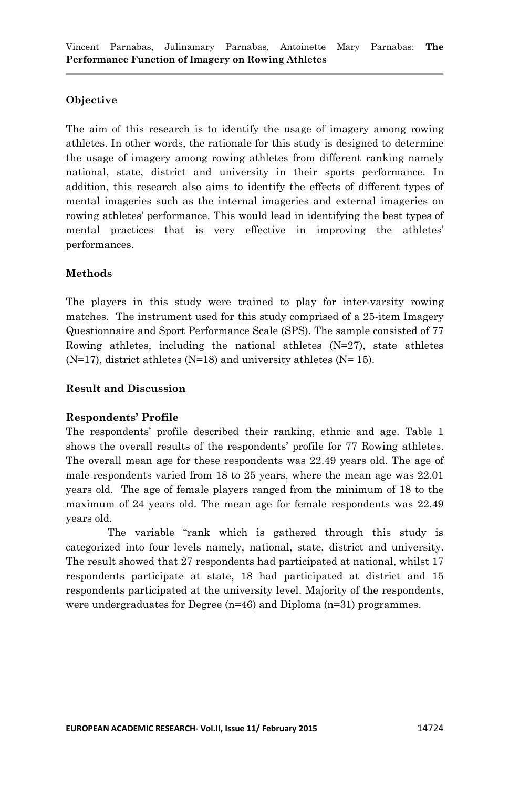# **Objective**

The aim of this research is to identify the usage of imagery among rowing athletes. In other words, the rationale for this study is designed to determine the usage of imagery among rowing athletes from different ranking namely national, state, district and university in their sports performance. In addition, this research also aims to identify the effects of different types of mental imageries such as the internal imageries and external imageries on rowing athletes' performance. This would lead in identifying the best types of mental practices that is very effective in improving the athletes' performances.

# **Methods**

The players in this study were trained to play for inter-varsity rowing matches. The instrument used for this study comprised of a 25-item Imagery Questionnaire and Sport Performance Scale (SPS). The sample consisted of 77 Rowing athletes, including the national athletes  $(N=27)$ , state athletes  $(N=17)$ , district athletes  $(N=18)$  and university athletes  $(N=15)$ .

## **Result and Discussion**

# **Respondents' Profile**

The respondents' profile described their ranking, ethnic and age. Table 1 shows the overall results of the respondents' profile for 77 Rowing athletes. The overall mean age for these respondents was 22.49 years old. The age of male respondents varied from 18 to 25 years, where the mean age was 22.01 years old. The age of female players ranged from the minimum of 18 to the maximum of 24 years old. The mean age for female respondents was 22.49 years old.

The variable "rank which is gathered through this study is categorized into four levels namely, national, state, district and university. The result showed that 27 respondents had participated at national, whilst 17 respondents participate at state, 18 had participated at district and 15 respondents participated at the university level. Majority of the respondents, were undergraduates for Degree  $(n=46)$  and Diploma  $(n=31)$  programmes.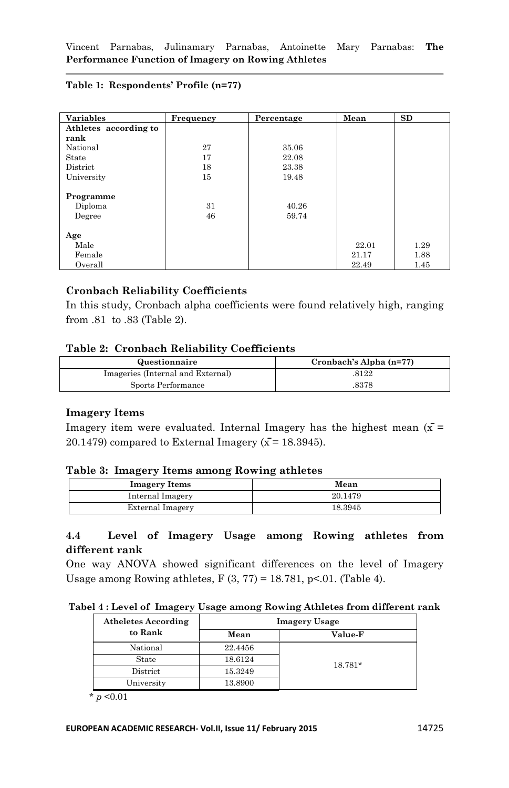#### **Table 1: Respondents' Profile (n=77)**

| <b>Variables</b>               | Frequency | Percentage     | Mean  | SD   |
|--------------------------------|-----------|----------------|-------|------|
| Athletes according to          |           |                |       |      |
| rank                           |           |                |       |      |
| National                       | 27        | 35.06          |       |      |
| State                          | 17        | 22.08          |       |      |
| District                       | 18        | 23.38          |       |      |
| University                     | 15        | 19.48          |       |      |
| Programme<br>Diploma<br>Degree | 31<br>46  | 40.26<br>59.74 |       |      |
| Age                            |           |                |       |      |
| Male                           |           |                | 22.01 | 1.29 |
| Female                         |           |                | 21.17 | 1.88 |
| Overall                        |           |                | 22.49 | 1.45 |

## **Cronbach Reliability Coefficients**

In this study, Cronbach alpha coefficients were found relatively high, ranging from .81 to .83 (Table 2).

## **Table 2: Cronbach Reliability Coefficients**

| Questionnaire                     | Cronbach's Alpha (n=77) |
|-----------------------------------|-------------------------|
| Imageries (Internal and External) | .8122                   |
| Sports Performance                | .8378                   |

## **Imagery Items**

Imagery item were evaluated. Internal Imagery has the highest mean  $(\bar{x} =$ 20.1479) compared to External Imagery  $(\bar{x} = 18.3945)$ .

#### **Table 3: Imagery Items among Rowing athletes**

| <b>Imagery Items</b> | Mean    |
|----------------------|---------|
| Internal Imagery     | 20.1479 |
| External Imagery     | 18.3945 |

# **4.4 Level of Imagery Usage among Rowing athletes from different rank**

One way ANOVA showed significant differences on the level of Imagery Usage among Rowing athletes,  $F(3, 77) = 18.781$ ,  $p<.01$ . (Table 4).

#### **Tabel 4 : Level of Imagery Usage among Rowing Athletes from different rank**

| <b>Atheletes According</b> |         | <b>Imagery Usage</b> |
|----------------------------|---------|----------------------|
| to Rank                    | Mean    | <b>Value-F</b>       |
| National                   | 22.4456 |                      |
| State                      | 18.6124 | 18.781*              |
| District                   | 15.3249 |                      |
| University                 | 13.8900 |                      |

 $\frac{1}{p}$  <0.01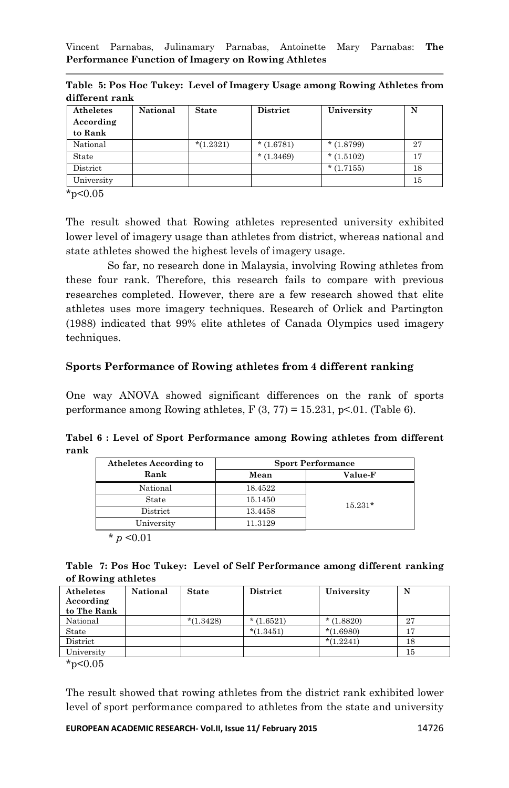| Atheletes<br>According<br>to Rank | National | <b>State</b> | <b>District</b> | University  | N  |
|-----------------------------------|----------|--------------|-----------------|-------------|----|
| National                          |          | $*(1.2321)$  | $*(1.6781)$     | $*(1.8799)$ | 27 |
| State                             |          |              | $*(1.3469)$     | $*(1.5102)$ | 17 |
| District                          |          |              |                 | $*(1.7155)$ | 18 |
| University                        |          |              |                 |             | 15 |

**Table 5: Pos Hoc Tukey: Level of Imagery Usage among Rowing Athletes from different rank**

 $*_{p<0.05}$ 

The result showed that Rowing athletes represented university exhibited lower level of imagery usage than athletes from district, whereas national and state athletes showed the highest levels of imagery usage.

So far, no research done in Malaysia, involving Rowing athletes from these four rank. Therefore, this research fails to compare with previous researches completed. However, there are a few research showed that elite athletes uses more imagery techniques. Research of Orlick and Partington (1988) indicated that 99% elite athletes of Canada Olympics used imagery techniques.

# **Sports Performance of Rowing athletes from 4 different ranking**

One way ANOVA showed significant differences on the rank of sports performance among Rowing athletes,  $F(3, 77) = 15.231$ , p<.01. (Table 6).

| rank |  |  |  |  | Tabel 6 : Level of Sport Performance among Rowing athletes from different |  |  |
|------|--|--|--|--|---------------------------------------------------------------------------|--|--|
|      |  |  |  |  |                                                                           |  |  |

| Atheletes According to               |         | <b>Sport Performance</b> |
|--------------------------------------|---------|--------------------------|
| Rank                                 | Mean    | <b>Value-F</b>           |
| National                             | 18.4522 |                          |
| State                                | 15.1450 | $15.231*$                |
| District                             | 13.4458 |                          |
| University                           | 11.3129 |                          |
| $\mathbf{A}$<br>$\sim$ $\sim$ $\sim$ |         |                          |

 <sup>\*</sup> *p* <0.01

|                    | Table 7: Pos Hoc Tukey: Level of Self Performance among different ranking |  |
|--------------------|---------------------------------------------------------------------------|--|
| of Rowing athletes |                                                                           |  |

| Atheletes<br>According<br>to The Rank | National | <b>State</b> | <b>District</b> | University  | N  |
|---------------------------------------|----------|--------------|-----------------|-------------|----|
| National                              |          | $*(1.3428)$  | $*(1.6521)$     | $*(1.8820)$ | 27 |
| State                                 |          |              | $*(1.3451)$     | $*(1.6980)$ |    |
| District                              |          |              |                 | $*(1.2241)$ | 18 |
| University                            |          |              |                 |             | 15 |

 $*_{p<0.05}$ 

The result showed that rowing athletes from the district rank exhibited lower level of sport performance compared to athletes from the state and university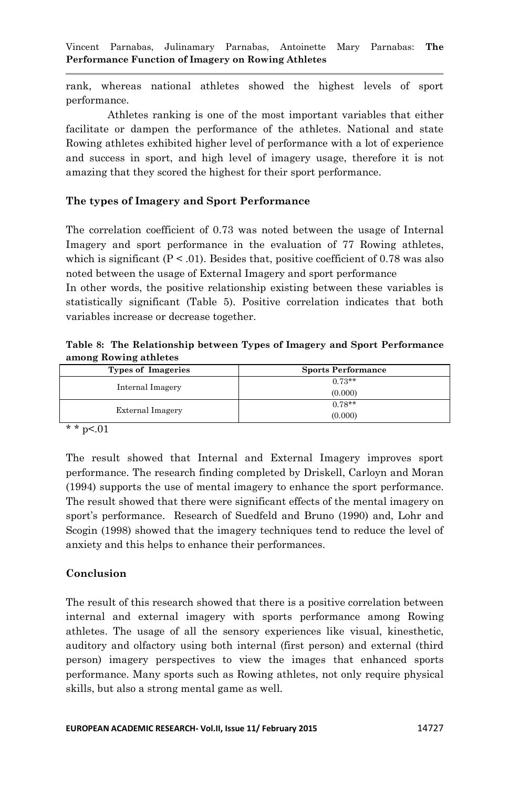rank, whereas national athletes showed the highest levels of sport performance.

Athletes ranking is one of the most important variables that either facilitate or dampen the performance of the athletes. National and state Rowing athletes exhibited higher level of performance with a lot of experience and success in sport, and high level of imagery usage, therefore it is not amazing that they scored the highest for their sport performance.

# **The types of Imagery and Sport Performance**

The correlation coefficient of 0.73 was noted between the usage of Internal Imagery and sport performance in the evaluation of 77 Rowing athletes, which is significant  $(P < .01)$ . Besides that, positive coefficient of 0.78 was also noted between the usage of External Imagery and sport performance In other words, the positive relationship existing between these variables is statistically significant (Table 5). Positive correlation indicates that both variables increase or decrease together.

**Table 8: The Relationship between Types of Imagery and Sport Performance among Rowing athletes**

| <b>Types of Imageries</b> | <b>Sports Performance</b> |
|---------------------------|---------------------------|
| Internal Imagery          | $0.73**$                  |
|                           | (0.000)                   |
| External Imagery          | $0.78**$                  |
|                           | (0.000)                   |

 $*$   $*$  p<.01

The result showed that Internal and External Imagery improves sport performance. The research finding completed by Driskell, Carloyn and Moran (1994) supports the use of mental imagery to enhance the sport performance. The result showed that there were significant effects of the mental imagery on sport's performance. Research of Suedfeld and Bruno (1990) and, Lohr and Scogin (1998) showed that the imagery techniques tend to reduce the level of anxiety and this helps to enhance their performances.

# **Conclusion**

The result of this research showed that there is a positive correlation between internal and external imagery with sports performance among Rowing athletes. The usage of all the sensory experiences like visual, kinesthetic, auditory and olfactory using both internal (first person) and external (third person) imagery perspectives to view the images that enhanced sports performance. Many sports such as Rowing athletes, not only require physical skills, but also a strong mental game as well.